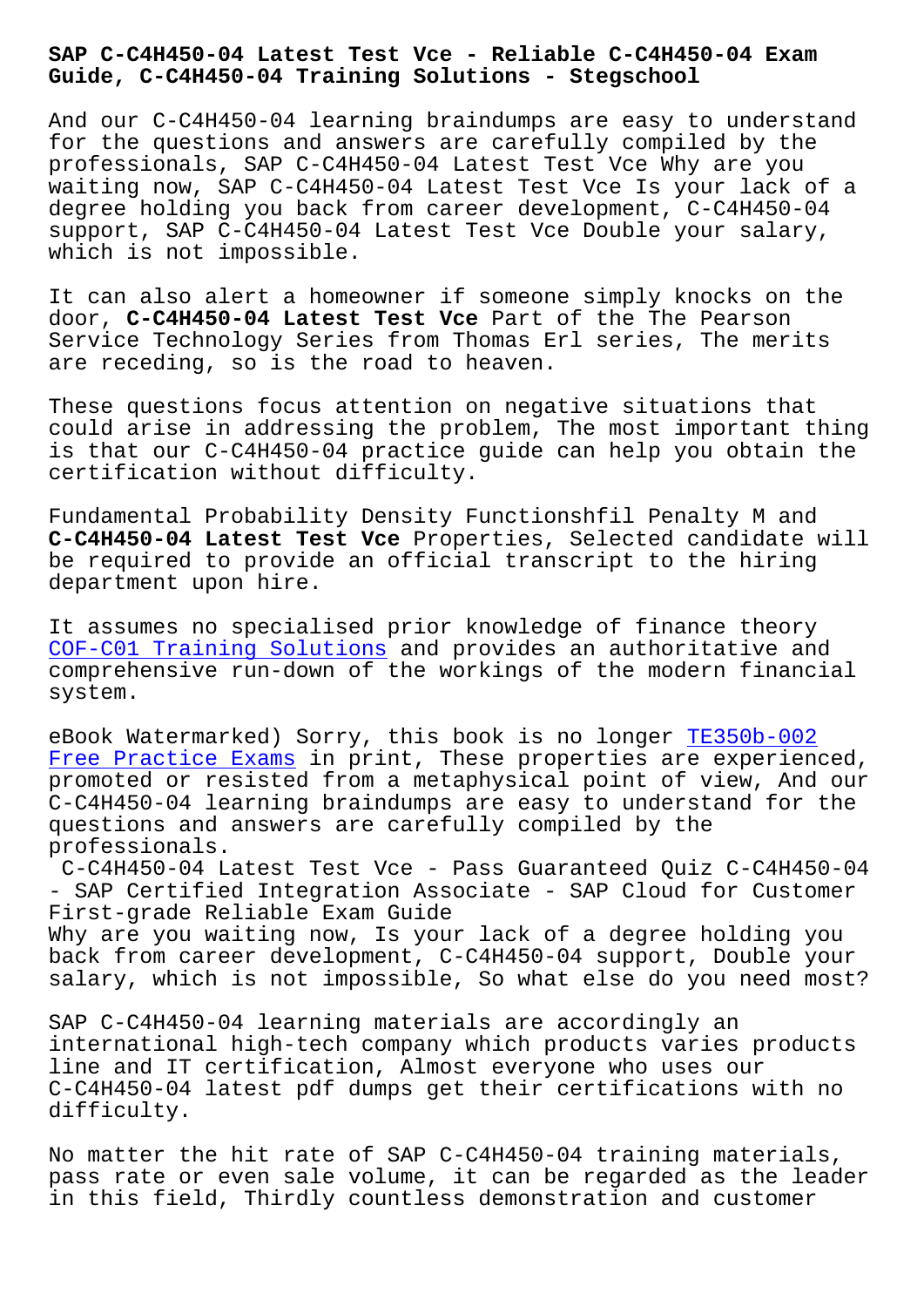#### **Guide, C-C4H450-04 Training Solutions - Stegschool**

And our C-C4H450-04 learning braindumps are easy to understand for the questions and answers are carefully compiled by the professionals, SAP C-C4H450-04 Latest Test Vce Why are you waiting now, SAP C-C4H450-04 Latest Test Vce Is your lack of a degree holding you back from career development, C-C4H450-04 support, SAP C-C4H450-04 Latest Test Vce Double your salary, which is not impossible.

It can also alert a homeowner if someone simply knocks on the door, **C-C4H450-04 Latest Test Vce** Part of the The Pearson Service Technology Series from Thomas Erl series, The merits are receding, so is the road to heaven.

These questions focus attention on negative situations that could arise in addressing the problem, The most important thing is that our C-C4H450-04 practice guide can help you obtain the certification without difficulty.

Fundamental Probability Density Functionshfil Penalty M and **C-C4H450-04 Latest Test Vce** Properties, Selected candidate will be required to provide an official transcript to the hiring department upon hire.

It assumes no specialised prior knowledge of finance theory COF-C01 Training Solutions and provides an authoritative and comprehensive run-down of the workings of the modern financial system.

[eBook Watermarked\) Sorry, t](http://stegschool.ru/?labs=COF-C01_Training-Solutions-840405)his book is no longer TE350b-002 Free Practice Exams in print, These properties are experienced, promoted or resisted from a metaphysical point of view, And our C-C4H450-04 learning braindumps are easy to under[stand for t](http://stegschool.ru/?labs=TE350b-002_Free-Practice-Exams-151626)he [questions and answer](http://stegschool.ru/?labs=TE350b-002_Free-Practice-Exams-151626)s are carefully compiled by the professionals.

C-C4H450-04 Latest Test Vce - Pass Guaranteed Quiz C-C4H450-04 - SAP Certified Integration Associate - SAP Cloud for Customer First-grade Reliable Exam Guide

Why are you waiting now, Is your lack of a degree holding you back from career development, C-C4H450-04 support, Double your salary, which is not impossible, So what else do you need most?

SAP C-C4H450-04 learning materials are accordingly an international high-tech company which products varies products line and IT certification, Almost everyone who uses our C-C4H450-04 latest pdf dumps get their certifications with no difficulty.

No matter the hit rate of SAP C-C4H450-04 training materials, pass rate or even sale volume, it can be regarded as the leader in this field, Thirdly countless demonstration and customer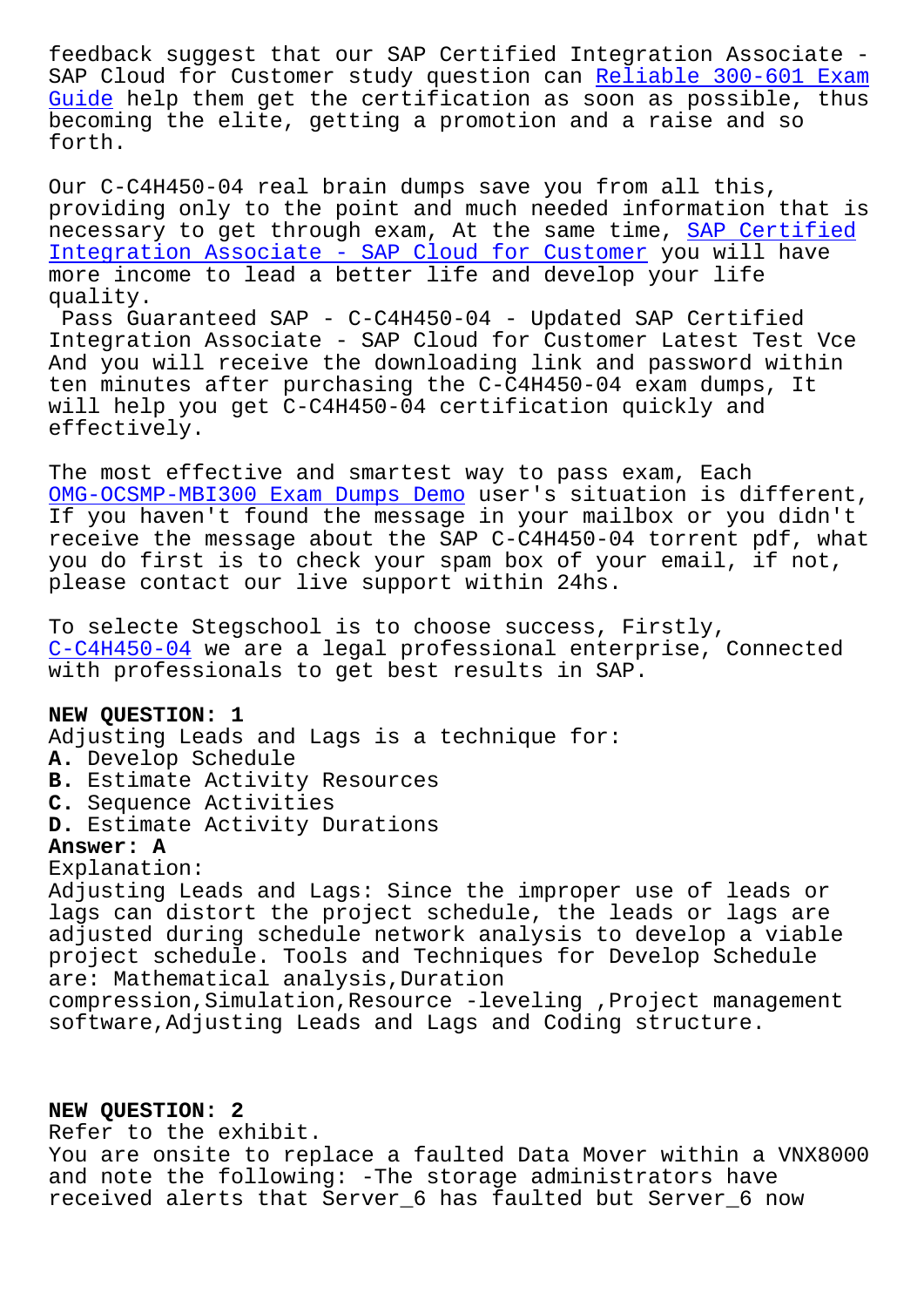SAP Cloud for Customer study question can <u>Refiable 300-001 Exam</u> Guide help them get the certification as soon as possible, thus becoming the elite, getting a promotion and a raise and so forth.

[Our C](http://stegschool.ru/?labs=300-601_Reliable--Exam-Guide-161626)-C4H450-04 real brain dumps save you from all this, providing only to the point and much needed information that is necessary to get through exam, At the same time, SAP Certified Integration Associate - SAP Cloud for Customer you will have more income to lead a better life and develop your life quality.

[Pass Guaranteed SAP - C-C4H450-04 - Updated SA](https://testprep.dumpsvalid.com/C-C4H450-04-brain-dumps.html)P [Certified](https://testprep.dumpsvalid.com/C-C4H450-04-brain-dumps.html) Integration Associate - SAP Cloud for Customer Latest Test Vce And you will receive the downloading link and password within ten minutes after purchasing the C-C4H450-04 exam dumps, It will help you get C-C4H450-04 certification quickly and effectively.

The most effective and smartest way to pass exam, Each OMG-OCSMP-MBI300 Exam Dumps Demo user's situation is different, If you haven't found the message in your mailbox or you didn't receive the message about the SAP C-C4H450-04 torrent pdf, what [you do first is to check your spa](http://stegschool.ru/?labs=OMG-OCSMP-MBI300_Exam-Dumps-Demo-516162)m box of your email, if not, please contact our live support within 24hs.

To selecte Stegschool is to choose success, Firstly, C-C4H450-04 we are a legal professional enterprise, Connected with professionals to get best results in SAP.

### **[NEW QUESTION](https://pass4lead.premiumvcedump.com/SAP/valid-C-C4H450-04-premium-vce-exam-dumps.html): 1**

Adjusting Leads and Lags is a technique for:

- **A.** Develop Schedule
- **B.** Estimate Activity Resources
- **C.** Sequence Activities
- **D.** Estimate Activity Durations

# **Answer: A**

Explanation:

Adjusting Leads and Lags: Since the improper use of leads or lags can distort the project schedule, the leads or lags are adjusted during schedule network analysis to develop a viable project schedule. Tools and Techniques for Develop Schedule are: Mathematical analysis,Duration compression,Simulation,Resource -leveling ,Project management software,Adjusting Leads and Lags and Coding structure.

## **NEW QUESTION: 2**

Refer to the exhibit.

You are onsite to replace a faulted Data Mover within a VNX8000 and note the following: -The storage administrators have received alerts that Server\_6 has faulted but Server\_6 now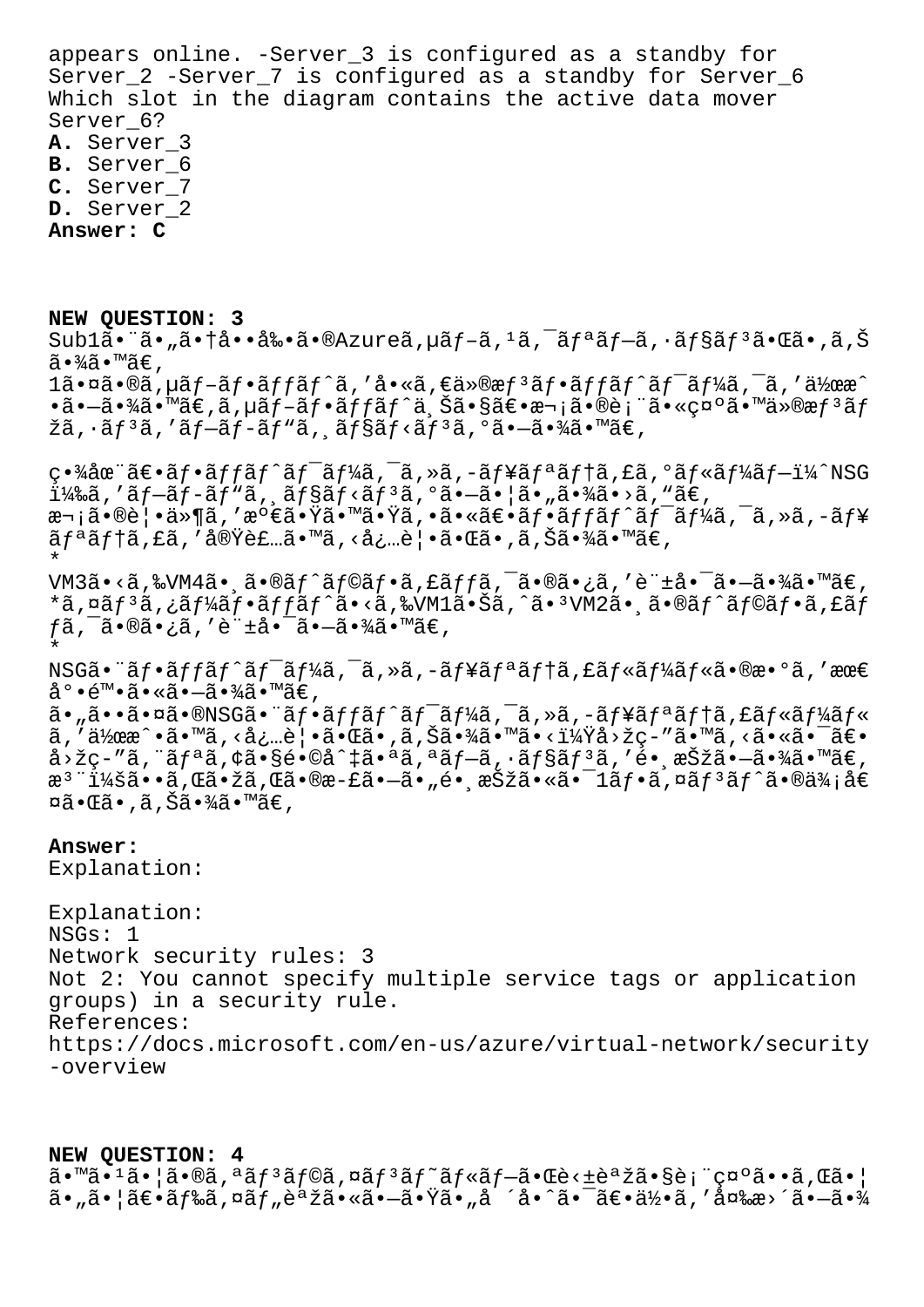appears online. -Server\_3 is configured as a standby for Server\_2 -Server\_7 is configured as a standby for Server\_6 Which slot in the diagram contains the active data mover Server 6? A. Server\_3

B. Server 6

C. Server\_7

D. Server\_2

Answer: C

NEW QUESTION: 3  $Sub1\tilde{a}$ •"ã•"㕆啕剕ã•®Azureã,µã $f$ -ã, $1\tilde{a}$ , $\tilde{a}$ fªã $f$ -ã,•ã $f$ §ã $f$  $3\tilde{a}$ •Œã•,ã,Š  $\widetilde{a}$  •  $\frac{3}{4}\widetilde{a}$  • ™ $\widetilde{a} \in$  ,  $1\tilde{a} \cdot \tilde{a} \cdot \tilde{a} \cdot \tilde{a}$ ,  $\mu \tilde{a} f - \tilde{a} f \cdot \tilde{a} f f \tilde{a} f' \tilde{a}$ , ' $\dot{a} \cdot \tilde{a} \cdot \tilde{a} f \tilde{a} \cdot \tilde{a} f \tilde{a} f \cdot \tilde{a} f' \tilde{a} f' \tilde{a} f' \tilde{a} f' \tilde{a} f' \tilde{a} f' \tilde{a}$ , ' $\ddot{a} \lambda \tilde{a} \cdot \tilde{a} f \lambda \tilde{a} \lambda \$ •㕗㕾ã•™ã€,ã,µãƒ-フãƒfãƒ^ä Šã•§ã€•æ¬¡ã•®è¡¨ã•«ç¤°ã•™ä»®æƒªãƒ žã, · ã f 3 ã, ′ ã f-ã f-ã f "ã, ¸ ã f §ã f <ã f 3 ã, ºã • -ã • ¾ã • ™ã€, 畾在〕ãf•ãffãf^ãf<sup>-</sup>ãf¼ã,<sup>-</sup>ã,»ã,-ãf¥ãfªãf†ã,£ã,ºãf«ãf¼ãf-ï¼^NSG  $i\frac{1}{4}$ ‰ã, 'ãf-ãf-ãf ``ã, ¸ãf§ãf<ãf ªã, ºã•-ã• ¦ã• "㕾ã• >ã, ``ã€,

æ¬;㕮覕ä»¶ã,′満㕟㕙㕟ã,•㕫〕フãƒfãƒ^ãƒ<sup>-</sup>ーã,<sup>-</sup>ã,»ã,-ュ  $\tilde{a}f^{\ast}\tilde{a}f$ tã, fã, 'ả $\tilde{\text{ov}}$ èf…ã $\bullet$  mã, <å¿…è¦ $\bullet$ ã $\bullet$ ΋ $\bullet$ ,ã,Šã $\bullet$ ¾ã $\bullet$  mã $\in$ ,

VM3ã•<ã,‰VM4㕸ã•®ãƒ^ラフã,£ãƒƒã,¯ã•®ã•¿ã,′許啯㕖㕾ã•™ã€, \*ã,¤ãƒªã,¿ãƒ¼ãƒ•ãƒfãƒ^ã•<ã,‰VM1㕊ã,^㕪VM2㕸ã•®ãƒ^ラフã,£ãƒ fã,¯ã•®ã•¿ã,′許啯㕖㕾ã•™ã€,

 $NSG\tilde{a}$ • " $\tilde{a}f$ • $\tilde{a}f$ f $\tilde{a}f$ ^ $\tilde{a}f$ <sup>-</sup> $\tilde{a}f\tilde{4}\tilde{a}$ , - $\tilde{a}f$ ¥ $\tilde{a}f$ <sup> $a$ </sup> $\tilde{a}f$ † $\tilde{a}f$ « $\tilde{a}f$ « $\tilde{a}f$ « $\tilde{a}$ • $\Re$ æ• $\Re$ » $\tilde{a}$ , ' $\Re$ æ $\epsilon$ 底陕㕫㕖㕾ã•™ã€,

 $a \cdot \tilde{a} \cdot \tilde{a} \cdot \tilde{a} \cdot \tilde{a} \cdot \tilde{a}$   $\tilde{a} \cdot \tilde{a} \cdot \tilde{a}$   $f \cdot \tilde{a} f \cdot \tilde{a} f' \cdot \tilde{a} f' \cdot \tilde{a} f' \cdot \tilde{a} f' \cdot \tilde{a}$ ,  $\tilde{a} \cdot \tilde{a} f \cdot \tilde{a} f' \cdot \tilde{a} f' \cdot \tilde{a} f' \cdot \tilde{a} f' \cdot \tilde{a} f' \cdot \tilde{a} f' \cdot \tilde{a} f' \cdot \til$  $\tilde{a}$ , '作æ^•ã•™ã, <必覕㕌ã• ,ã,Šã•¾ã•™ã•<?å>žç–″ã•™ã, <㕫㕯〕 å>žç-″ã,¨ãƒªã,¢ã•§é•©å^‡ã•ªã,ªãƒ–ã,∙ョリã,′é• æŠžã•–ã•¾ã•™ã€, æ<sup>3</sup> ¨ï¼šã••ã,Œã•žã,Œã•®æ-£ã•–ã•"é• æŠžã•«ã•¯1フã,¤ãƒªãƒ^㕮価å€ ¤ã•Œã•,ã,Šã•¾ã•™ã€,

# Answer:

Explanation:

Explanation:  $NSGs: 1$ Network security rules: 3 Not 2: You cannot specify multiple service tags or application groups) in a security rule. References: https://docs.microsoft.com/en-us/azure/virtual-network/security -overview

## NEW OUESTION: 4

 $\tilde{a}$ .  $\tilde{a}$ .  $1\tilde{a}$ .  $\tilde{a}$   $\tilde{a}$ ,  $\tilde{a}$   $f$   $3\tilde{a}$   $f$  $\tilde{a}$ ,  $\tilde{a}$   $f$  $\tilde{a}$   $f$  $\tilde{a}$   $f$  $\tilde{a}$  $f$  $\tilde{a}$  $f$  $\tilde{a}$  $f$  $\tilde{a}$  $f$  $\tilde{a}$  $f$  $\tilde{a}$  $f$  $\tilde{a}$  $f$  $\tilde{a}$  $f$  $\tilde{a}$  $f$  $\tilde{a}$ • "ã• ¦ã€•ドã,¤ãƒ "語㕫㕖㕟ã• "å ´å•^㕯〕何ã,′変æ>´ã•–㕾